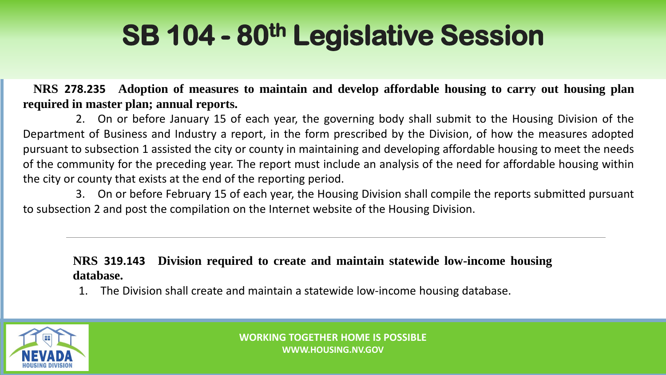## **SB 104 - 80th Legislative Session**

**NRS 278.235 Adoption of measures to maintain and develop affordable housing to carry out housing plan required in master plan; annual reports.**

2. On or before January 15 of each year, the governing body shall submit to the Housing Division of the Department of Business and Industry a report, in the form prescribed by the Division, of how the measures adopted pursuant to subsection 1 assisted the city or county in maintaining and developing affordable housing to meet the needs of the community for the preceding year. The report must include an analysis of the need for affordable housing within the city or county that exists at the end of the reporting period.

3. On or before February 15 of each year, the Housing Division shall compile the reports submitted pursuant to subsection 2 and post the compilation on the Internet website of the Housing Division.

**NRS 319.143 Division required to create and maintain statewide low-income housing database.**

1. The Division shall create and maintain a statewide low-income housing database.

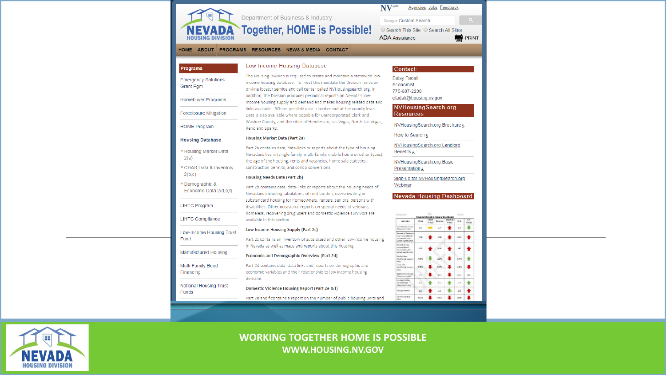

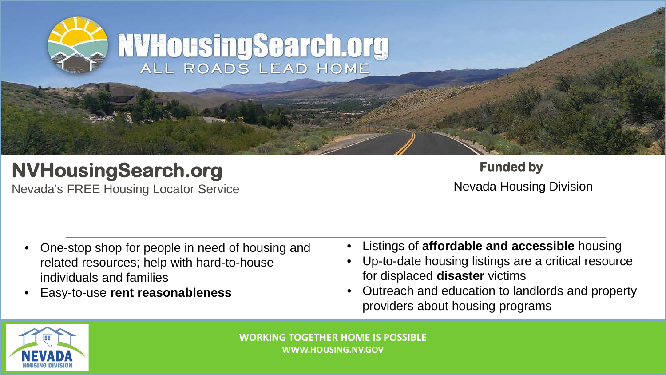

### **NVHousingSearch.org**

Nevada's FREE Housing Locator Service

**Funded by** Nevada Housing Division

- One-stop shop for people in need of housing and related resources; help with hard-to-house individuals and families
- Easy-to-use **rent reasonableness**
- Listings of **affordable and accessible** housing
- Up-to-date housing listings are a critical resource for displaced **disaster** victims
- Outreach and education to landlords and property providers about housing programs

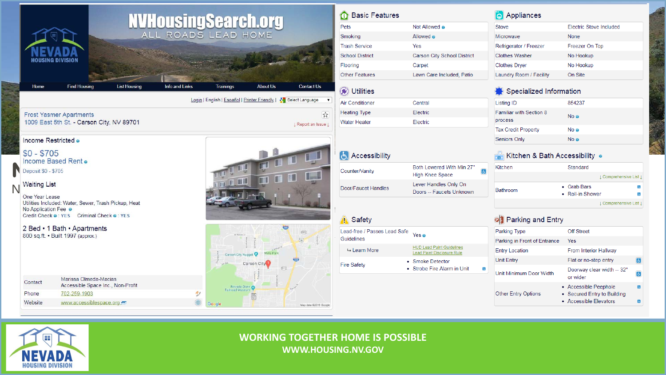|         | HOUSING DIVISION                                                                                                           |                                                                                                                                    |                     | <b>NVHOUSINGSCATCH.ORG</b>                                       |                                    |                                    |                       | <b>11</b> Basic Feature<br>Pets<br>Smoking<br><b>Trash Service</b><br><b>School District</b><br>Flooring |
|---------|----------------------------------------------------------------------------------------------------------------------------|------------------------------------------------------------------------------------------------------------------------------------|---------------------|------------------------------------------------------------------|------------------------------------|------------------------------------|-----------------------|----------------------------------------------------------------------------------------------------------|
|         | Home                                                                                                                       | <b>Find Housing</b>                                                                                                                | <b>List Housing</b> | <b>Info and Links</b>                                            | <b>Trainings</b>                   | <b>About Us</b>                    | <b>Contact Us</b>     | <b>Other Features</b><br>(C) Utilities                                                                   |
|         |                                                                                                                            |                                                                                                                                    |                     | Login   English   Español   Printer Friendly   8 Select Language | <b>Air Conditioner</b>             |                                    |                       |                                                                                                          |
|         |                                                                                                                            | <b>Frost Yasmer Apartments</b>                                                                                                     |                     |                                                                  |                                    |                                    | ☆                     | <b>Heating Type</b>                                                                                      |
|         |                                                                                                                            | 1009 East 5th St. - Carson City, NV 89701                                                                                          |                     |                                                                  | I Report an Issue I                |                                    |                       | <b>Water Heater</b>                                                                                      |
| N       | $$0 - $705$<br>Income Based Rent o<br>Deposit \$0 - \$705<br><b>Waiting List</b><br>One Year Lease<br>No Application Fee @ | Utilities Included: Water, Sewer, Trash Pickup, Heat<br>Credit Check @ : YES Criminal Check @ : YES<br>2 Bed • 1 Bath • Apartments |                     |                                                                  |                                    |                                    | <b>CED</b>            | <b>A</b> Accessibility<br>Counter/Vanity<br>Door/Faucet Handles<br><b>Safety</b>                         |
|         |                                                                                                                            | 800 sq.ft. • Built 1997 (approx.)                                                                                                  |                     |                                                                  | IV Workshell<br>Carson City Nugget | Mills Park<br>Carson City<br>(513) | (525)<br>(50)         | Lead-free / Passes Lead<br><b>Guidelines</b><br>→ Learn More<br><b>Fire Safety</b>                       |
| Contact |                                                                                                                            | Marissa Olmeda-Macias<br>Accessible Space Inc., Non-Profit                                                                         |                     |                                                                  | Nevada State @                     |                                    |                       |                                                                                                          |
| Phone   |                                                                                                                            | 702-259-1903                                                                                                                       |                     |                                                                  | Railroad Museum                    | $\frac{R.B}{305}$                  |                       |                                                                                                          |
| Website |                                                                                                                            | www.accessiblespace.org                                                                                                            |                     |                                                                  | Google                             |                                    | Map data @2019 Google |                                                                                                          |

| <b>Basic Features</b>      |                                                                | Appliances              |                                                |                                                                                |                        |        |  |  |
|----------------------------|----------------------------------------------------------------|-------------------------|------------------------------------------------|--------------------------------------------------------------------------------|------------------------|--------|--|--|
| ts                         | Not Allowed @                                                  |                         | <b>Stove</b>                                   | Electric Stove Included                                                        |                        |        |  |  |
| <b>noking</b>              | Allowed @                                                      |                         | Microwave                                      | None                                                                           |                        |        |  |  |
| ash Service                | Yes                                                            |                         | Refrigerator / Freezer                         | Freezer On Top                                                                 |                        |        |  |  |
| hool District              | <b>Carson City School District</b>                             |                         | <b>Clothes Washer</b>                          | No Hookup                                                                      |                        |        |  |  |
| poring                     | Carpet                                                         |                         | <b>Clothes Dryer</b>                           | No Hookup                                                                      |                        |        |  |  |
| her Features               | Lawn Care Included, Patio                                      |                         | Laundry Room / Facility                        | On Site                                                                        |                        |        |  |  |
| Utilities                  |                                                                | Specialized Information |                                                |                                                                                |                        |        |  |  |
| <b>Conditioner</b>         | Central                                                        |                         | <b>Listing ID</b>                              | 854237                                                                         |                        |        |  |  |
| ating Type<br>ater Heater  | Electric<br>Electric                                           |                         | Familiar with Section 8<br>process             | No o                                                                           |                        |        |  |  |
|                            |                                                                |                         | <b>Tax Credit Property</b>                     | No o                                                                           |                        |        |  |  |
|                            |                                                                |                         | Seniors Only                                   | No o                                                                           |                        |        |  |  |
| <b>Accessibility</b>       |                                                                |                         | <mark>स</mark> Kitchen & Bath Accessibility  ๏ |                                                                                |                        |        |  |  |
| unter/Vanity               | Both Lowered With Min 27"<br>6<br><b>High Knee Space</b>       |                         | Kitchen                                        | Standard                                                                       | 1 Comprehensive List 1 |        |  |  |
| or/Faucet Handles          | Lever Handles Only On<br>Doors -- Faucets Unknown              |                         | <b>Bathroom</b>                                | • Grab Bars<br>• Roll-in Shower                                                |                        |        |  |  |
|                            |                                                                |                         |                                                |                                                                                | L Comprehensive List L |        |  |  |
| Safety                     |                                                                |                         | <b>OD</b> Parking and Entry                    |                                                                                |                        |        |  |  |
| ad-free / Passes Lead Safe | Yes o                                                          |                         | Parking Type                                   | <b>Off Street</b>                                                              |                        |        |  |  |
| iidelines                  |                                                                |                         | Parking in Front of Entrance                   | <b>Yes</b>                                                                     |                        |        |  |  |
| $ightharpoonup$ Learn More | <b>HUD Lead Paint Guidelines</b><br>Lead Paint Disclosure Rule |                         | <b>Entry Location</b>                          | From Interior Hallway                                                          |                        |        |  |  |
| e Safety                   | • Smoke Detector<br>Strobe Fire Alarm in Unit<br>ó.            |                         | Unit Entry                                     | Flat or no-step entry<br>$\overline{6}$                                        |                        |        |  |  |
|                            |                                                                |                         | Unit Minimum Door Width                        | Doorway clear width -- 32"<br>$\Delta$<br>or wider                             |                        |        |  |  |
|                            |                                                                |                         | <b>Other Entry Options</b>                     | • Accessible Peephole<br>• Secured Entry to Building<br>• Accessible Elevators |                        | Ы<br>Ы |  |  |

Œ **NEVADA HOUSING DIVISION**